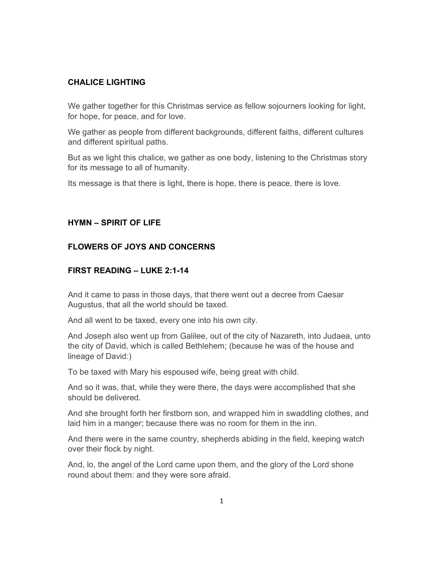# CHALICE LIGHTING

We gather together for this Christmas service as fellow sojourners looking for light, for hope, for peace, and for love.

We gather as people from different backgrounds, different faiths, different cultures and different spiritual paths.

But as we light this chalice, we gather as one body, listening to the Christmas story for its message to all of humanity.

Its message is that there is light, there is hope, there is peace, there is love.

## HYMN – SPIRIT OF LIFE

# FLOWERS OF JOYS AND CONCERNS

## FIRST READING – LUKE 2:1-14

And it came to pass in those days, that there went out a decree from Caesar Augustus, that all the world should be taxed.

And all went to be taxed, every one into his own city.

And Joseph also went up from Galilee, out of the city of Nazareth, into Judaea, unto the city of David, which is called Bethlehem; (because he was of the house and lineage of David:)

To be taxed with Mary his espoused wife, being great with child.

And so it was, that, while they were there, the days were accomplished that she should be delivered.

And she brought forth her firstborn son, and wrapped him in swaddling clothes, and laid him in a manger; because there was no room for them in the inn.

And there were in the same country, shepherds abiding in the field, keeping watch over their flock by night.

And, lo, the angel of the Lord came upon them, and the glory of the Lord shone round about them: and they were sore afraid.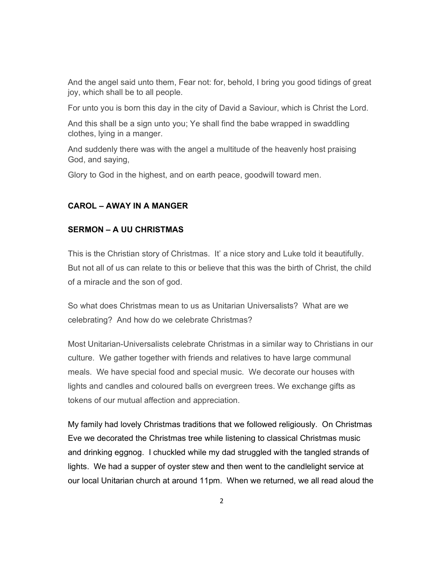And the angel said unto them, Fear not: for, behold, I bring you good tidings of great joy, which shall be to all people.

For unto you is born this day in the city of David a Saviour, which is Christ the Lord.

And this shall be a sign unto you; Ye shall find the babe wrapped in swaddling clothes, lying in a manger.

And suddenly there was with the angel a multitude of the heavenly host praising God, and saying,

Glory to God in the highest, and on earth peace, goodwill toward men.

## CAROL – AWAY IN A MANGER

## SERMON – A UU CHRISTMAS

This is the Christian story of Christmas. It' a nice story and Luke told it beautifully. But not all of us can relate to this or believe that this was the birth of Christ, the child of a miracle and the son of god.

So what does Christmas mean to us as Unitarian Universalists? What are we celebrating? And how do we celebrate Christmas?

Most Unitarian-Universalists celebrate Christmas in a similar way to Christians in our culture. We gather together with friends and relatives to have large communal meals. We have special food and special music. We decorate our houses with lights and candles and coloured balls on evergreen trees. We exchange gifts as tokens of our mutual affection and appreciation.

My family had lovely Christmas traditions that we followed religiously. On Christmas Eve we decorated the Christmas tree while listening to classical Christmas music and drinking eggnog. I chuckled while my dad struggled with the tangled strands of lights. We had a supper of oyster stew and then went to the candlelight service at our local Unitarian church at around 11pm. When we returned, we all read aloud the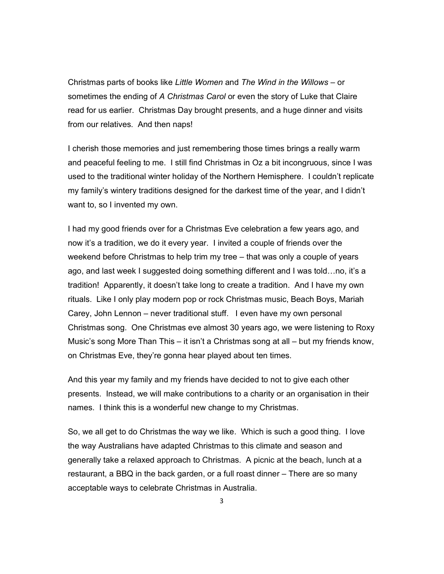Christmas parts of books like Little Women and The Wind in the Willows – or sometimes the ending of A Christmas Carol or even the story of Luke that Claire read for us earlier. Christmas Day brought presents, and a huge dinner and visits from our relatives. And then naps!

I cherish those memories and just remembering those times brings a really warm and peaceful feeling to me. I still find Christmas in Oz a bit incongruous, since I was used to the traditional winter holiday of the Northern Hemisphere. I couldn't replicate my family's wintery traditions designed for the darkest time of the year, and I didn't want to, so I invented my own.

I had my good friends over for a Christmas Eve celebration a few years ago, and now it's a tradition, we do it every year. I invited a couple of friends over the weekend before Christmas to help trim my tree – that was only a couple of years ago, and last week I suggested doing something different and I was told…no, it's a tradition! Apparently, it doesn't take long to create a tradition. And I have my own rituals. Like I only play modern pop or rock Christmas music, Beach Boys, Mariah Carey, John Lennon – never traditional stuff. I even have my own personal Christmas song. One Christmas eve almost 30 years ago, we were listening to Roxy Music's song More Than This – it isn't a Christmas song at all – but my friends know, on Christmas Eve, they're gonna hear played about ten times.

And this year my family and my friends have decided to not to give each other presents. Instead, we will make contributions to a charity or an organisation in their names. I think this is a wonderful new change to my Christmas.

So, we all get to do Christmas the way we like. Which is such a good thing. I love the way Australians have adapted Christmas to this climate and season and generally take a relaxed approach to Christmas. A picnic at the beach, lunch at a restaurant, a BBQ in the back garden, or a full roast dinner – There are so many acceptable ways to celebrate Christmas in Australia.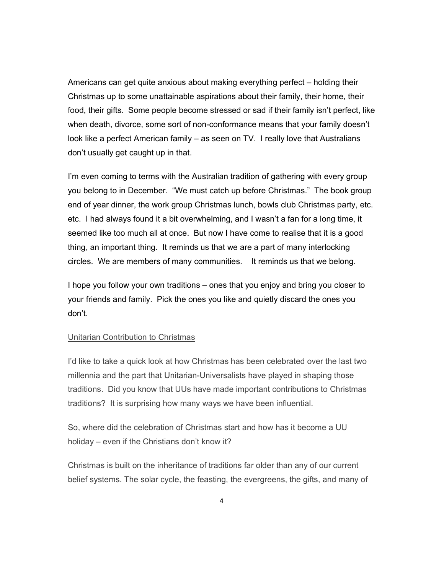Americans can get quite anxious about making everything perfect – holding their Christmas up to some unattainable aspirations about their family, their home, their food, their gifts. Some people become stressed or sad if their family isn't perfect, like when death, divorce, some sort of non-conformance means that your family doesn't look like a perfect American family – as seen on TV. I really love that Australians don't usually get caught up in that.

I'm even coming to terms with the Australian tradition of gathering with every group you belong to in December. "We must catch up before Christmas." The book group end of year dinner, the work group Christmas lunch, bowls club Christmas party, etc. etc. I had always found it a bit overwhelming, and I wasn't a fan for a long time, it seemed like too much all at once. But now I have come to realise that it is a good thing, an important thing. It reminds us that we are a part of many interlocking circles. We are members of many communities. It reminds us that we belong.

I hope you follow your own traditions – ones that you enjoy and bring you closer to your friends and family. Pick the ones you like and quietly discard the ones you don't.

#### Unitarian Contribution to Christmas

I'd like to take a quick look at how Christmas has been celebrated over the last two millennia and the part that Unitarian-Universalists have played in shaping those traditions. Did you know that UUs have made important contributions to Christmas traditions? It is surprising how many ways we have been influential.

So, where did the celebration of Christmas start and how has it become a UU holiday – even if the Christians don't know it?

Christmas is built on the inheritance of traditions far older than any of our current belief systems. The solar cycle, the feasting, the evergreens, the gifts, and many of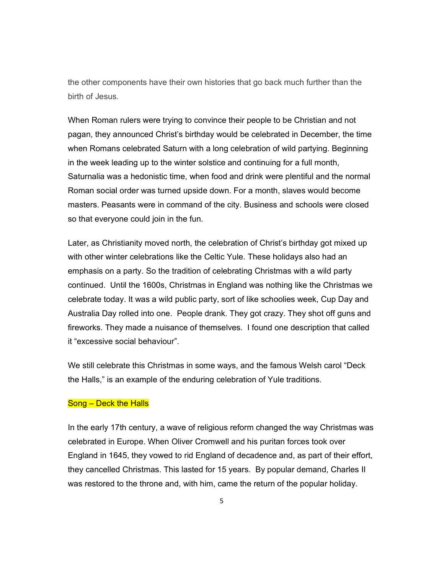the other components have their own histories that go back much further than the birth of Jesus.

When Roman rulers were trying to convince their people to be Christian and not pagan, they announced Christ's birthday would be celebrated in December, the time when Romans celebrated Saturn with a long celebration of wild partying. Beginning in the week leading up to the winter solstice and continuing for a full month, Saturnalia was a hedonistic time, when food and drink were plentiful and the normal Roman social order was turned upside down. For a month, slaves would become masters. Peasants were in command of the city. Business and schools were closed so that everyone could join in the fun.

Later, as Christianity moved north, the celebration of Christ's birthday got mixed up with other winter celebrations like the Celtic Yule. These holidays also had an emphasis on a party. So the tradition of celebrating Christmas with a wild party continued. Until the 1600s, Christmas in England was nothing like the Christmas we celebrate today. It was a wild public party, sort of like schoolies week, Cup Day and Australia Day rolled into one. People drank. They got crazy. They shot off guns and fireworks. They made a nuisance of themselves. I found one description that called it "excessive social behaviour".

We still celebrate this Christmas in some ways, and the famous Welsh carol "Deck the Halls," is an example of the enduring celebration of Yule traditions.

#### Song – Deck the Halls

In the early 17th century, a wave of religious reform changed the way Christmas was celebrated in Europe. When Oliver Cromwell and his puritan forces took over England in 1645, they vowed to rid England of decadence and, as part of their effort, they cancelled Christmas. This lasted for 15 years. By popular demand, Charles II was restored to the throne and, with him, came the return of the popular holiday.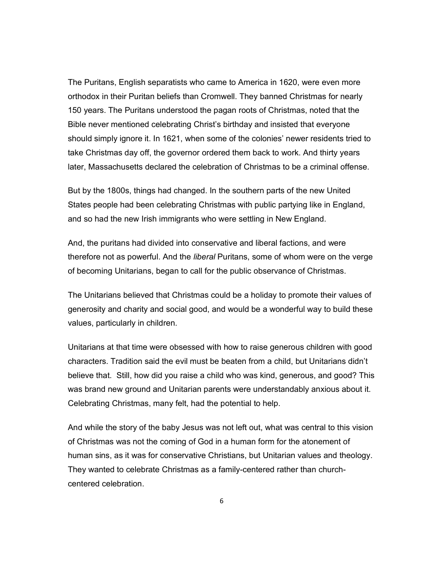The Puritans, English separatists who came to America in 1620, were even more orthodox in their Puritan beliefs than Cromwell. They banned Christmas for nearly 150 years. The Puritans understood the pagan roots of Christmas, noted that the Bible never mentioned celebrating Christ's birthday and insisted that everyone should simply ignore it. In 1621, when some of the colonies' newer residents tried to take Christmas day off, the governor ordered them back to work. And thirty years later, Massachusetts declared the celebration of Christmas to be a criminal offense.

But by the 1800s, things had changed. In the southern parts of the new United States people had been celebrating Christmas with public partying like in England, and so had the new Irish immigrants who were settling in New England.

And, the puritans had divided into conservative and liberal factions, and were therefore not as powerful. And the liberal Puritans, some of whom were on the verge of becoming Unitarians, began to call for the public observance of Christmas.

The Unitarians believed that Christmas could be a holiday to promote their values of generosity and charity and social good, and would be a wonderful way to build these values, particularly in children.

Unitarians at that time were obsessed with how to raise generous children with good characters. Tradition said the evil must be beaten from a child, but Unitarians didn't believe that. Still, how did you raise a child who was kind, generous, and good? This was brand new ground and Unitarian parents were understandably anxious about it. Celebrating Christmas, many felt, had the potential to help.

And while the story of the baby Jesus was not left out, what was central to this vision of Christmas was not the coming of God in a human form for the atonement of human sins, as it was for conservative Christians, but Unitarian values and theology. They wanted to celebrate Christmas as a family-centered rather than churchcentered celebration.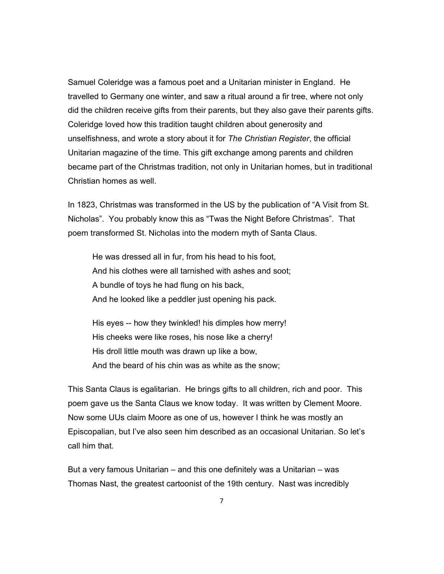Samuel Coleridge was a famous poet and a Unitarian minister in England. He travelled to Germany one winter, and saw a ritual around a fir tree, where not only did the children receive gifts from their parents, but they also gave their parents gifts. Coleridge loved how this tradition taught children about generosity and unselfishness, and wrote a story about it for The Christian Register, the official Unitarian magazine of the time. This gift exchange among parents and children became part of the Christmas tradition, not only in Unitarian homes, but in traditional Christian homes as well.

In 1823, Christmas was transformed in the US by the publication of "A Visit from St. Nicholas". You probably know this as "Twas the Night Before Christmas". That poem transformed St. Nicholas into the modern myth of Santa Claus.

He was dressed all in fur, from his head to his foot, And his clothes were all tarnished with ashes and soot; A bundle of toys he had flung on his back, And he looked like a peddler just opening his pack.

His eyes -- how they twinkled! his dimples how merry! His cheeks were like roses, his nose like a cherry! His droll little mouth was drawn up like a bow, And the beard of his chin was as white as the snow;

This Santa Claus is egalitarian. He brings gifts to all children, rich and poor. This poem gave us the Santa Claus we know today. It was written by Clement Moore. Now some UUs claim Moore as one of us, however I think he was mostly an Episcopalian, but I've also seen him described as an occasional Unitarian. So let's call him that.

But a very famous Unitarian – and this one definitely was a Unitarian – was Thomas Nast, the greatest cartoonist of the 19th century. Nast was incredibly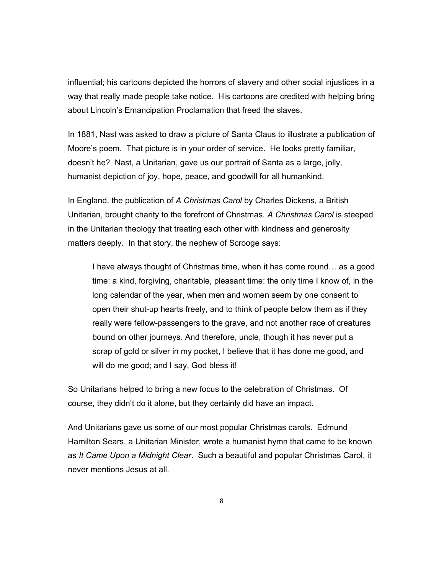influential; his cartoons depicted the horrors of slavery and other social injustices in a way that really made people take notice. His cartoons are credited with helping bring about Lincoln's Emancipation Proclamation that freed the slaves.

In 1881, Nast was asked to draw a picture of Santa Claus to illustrate a publication of Moore's poem. That picture is in your order of service. He looks pretty familiar, doesn't he? Nast, a Unitarian, gave us our portrait of Santa as a large, jolly, humanist depiction of joy, hope, peace, and goodwill for all humankind.

In England, the publication of A Christmas Carol by Charles Dickens, a British Unitarian, brought charity to the forefront of Christmas. A Christmas Carol is steeped in the Unitarian theology that treating each other with kindness and generosity matters deeply. In that story, the nephew of Scrooge says:

I have always thought of Christmas time, when it has come round… as a good time: a kind, forgiving, charitable, pleasant time: the only time I know of, in the long calendar of the year, when men and women seem by one consent to open their shut-up hearts freely, and to think of people below them as if they really were fellow-passengers to the grave, and not another race of creatures bound on other journeys. And therefore, uncle, though it has never put a scrap of gold or silver in my pocket, I believe that it has done me good, and will do me good; and I say, God bless it!

So Unitarians helped to bring a new focus to the celebration of Christmas. Of course, they didn't do it alone, but they certainly did have an impact.

And Unitarians gave us some of our most popular Christmas carols. Edmund Hamilton Sears, a Unitarian Minister, wrote a humanist hymn that came to be known as It Came Upon a Midnight Clear. Such a beautiful and popular Christmas Carol, it never mentions Jesus at all.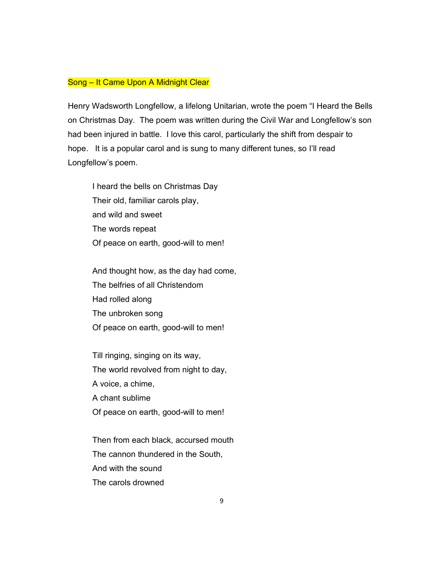#### Song – It Came Upon A Midnight Clear

Henry Wadsworth Longfellow, a lifelong Unitarian, wrote the poem "I Heard the Bells on Christmas Day. The poem was written during the Civil War and Longfellow's son had been injured in battle. I love this carol, particularly the shift from despair to hope. It is a popular carol and is sung to many different tunes, so I'll read Longfellow's poem.

I heard the bells on Christmas Day Their old, familiar carols play, and wild and sweet The words repeat Of peace on earth, good-will to men!

And thought how, as the day had come, The belfries of all Christendom Had rolled along The unbroken song Of peace on earth, good-will to men!

Till ringing, singing on its way, The world revolved from night to day, A voice, a chime, A chant sublime Of peace on earth, good-will to men!

Then from each black, accursed mouth The cannon thundered in the South, And with the sound The carols drowned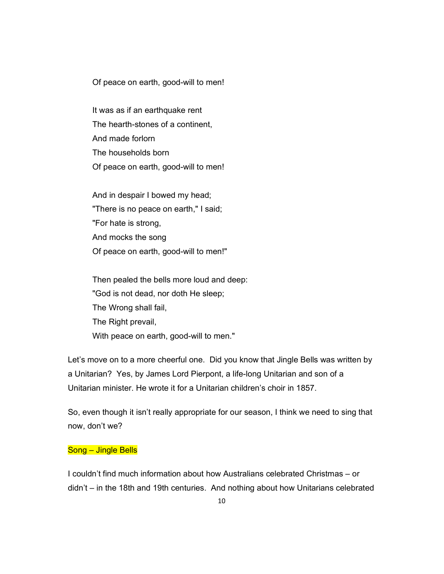Of peace on earth, good-will to men!

It was as if an earthquake rent The hearth-stones of a continent, And made forlorn The households born Of peace on earth, good-will to men!

And in despair I bowed my head; "There is no peace on earth," I said; "For hate is strong, And mocks the song Of peace on earth, good-will to men!"

Then pealed the bells more loud and deep: "God is not dead, nor doth He sleep; The Wrong shall fail, The Right prevail, With peace on earth, good-will to men."

Let's move on to a more cheerful one. Did you know that Jingle Bells was written by a Unitarian? Yes, by James Lord Pierpont, a life-long Unitarian and son of a Unitarian minister. He wrote it for a Unitarian children's choir in 1857.

So, even though it isn't really appropriate for our season, I think we need to sing that now, don't we?

### Song – Jingle Bells

I couldn't find much information about how Australians celebrated Christmas – or didn't – in the 18th and 19th centuries. And nothing about how Unitarians celebrated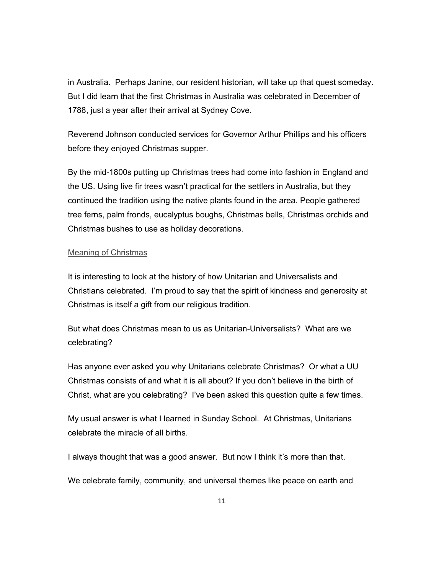in Australia. Perhaps Janine, our resident historian, will take up that quest someday. But I did learn that the first Christmas in Australia was celebrated in December of 1788, just a year after their arrival at Sydney Cove.

Reverend Johnson conducted services for Governor Arthur Phillips and his officers before they enjoyed Christmas supper.

By the mid-1800s putting up Christmas trees had come into fashion in England and the US. Using live fir trees wasn't practical for the settlers in Australia, but they continued the tradition using the native plants found in the area. People gathered tree ferns, palm fronds, eucalyptus boughs, Christmas bells, Christmas orchids and Christmas bushes to use as holiday decorations.

### Meaning of Christmas

It is interesting to look at the history of how Unitarian and Universalists and Christians celebrated. I'm proud to say that the spirit of kindness and generosity at Christmas is itself a gift from our religious tradition.

But what does Christmas mean to us as Unitarian-Universalists? What are we celebrating?

Has anyone ever asked you why Unitarians celebrate Christmas? Or what a UU Christmas consists of and what it is all about? If you don't believe in the birth of Christ, what are you celebrating? I've been asked this question quite a few times.

My usual answer is what I learned in Sunday School. At Christmas, Unitarians celebrate the miracle of all births.

I always thought that was a good answer. But now I think it's more than that.

We celebrate family, community, and universal themes like peace on earth and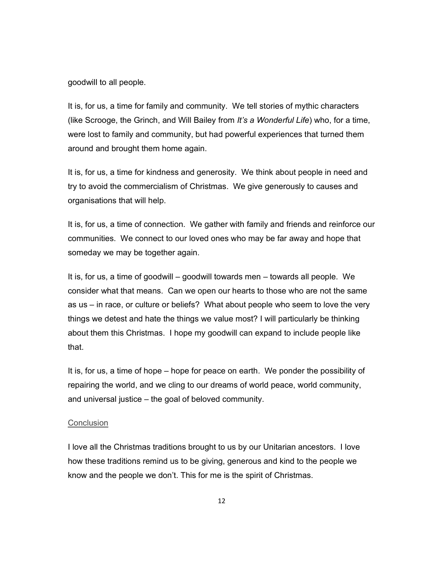goodwill to all people.

It is, for us, a time for family and community. We tell stories of mythic characters (like Scrooge, the Grinch, and Will Bailey from It's a Wonderful Life) who, for a time, were lost to family and community, but had powerful experiences that turned them around and brought them home again.

It is, for us, a time for kindness and generosity. We think about people in need and try to avoid the commercialism of Christmas. We give generously to causes and organisations that will help.

It is, for us, a time of connection. We gather with family and friends and reinforce our communities. We connect to our loved ones who may be far away and hope that someday we may be together again.

It is, for us, a time of goodwill – goodwill towards men – towards all people. We consider what that means. Can we open our hearts to those who are not the same as us – in race, or culture or beliefs? What about people who seem to love the very things we detest and hate the things we value most? I will particularly be thinking about them this Christmas. I hope my goodwill can expand to include people like that.

It is, for us, a time of hope – hope for peace on earth. We ponder the possibility of repairing the world, and we cling to our dreams of world peace, world community, and universal justice – the goal of beloved community.

#### **Conclusion**

I love all the Christmas traditions brought to us by our Unitarian ancestors. I love how these traditions remind us to be giving, generous and kind to the people we know and the people we don't. This for me is the spirit of Christmas.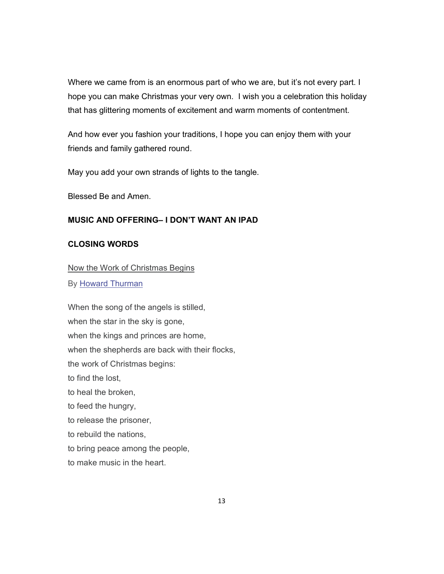Where we came from is an enormous part of who we are, but it's not every part. I hope you can make Christmas your very own. I wish you a celebration this holiday that has glittering moments of excitement and warm moments of contentment.

And how ever you fashion your traditions, I hope you can enjoy them with your friends and family gathered round.

May you add your own strands of lights to the tangle.

Blessed Be and Amen.

## MUSIC AND OFFERING– I DON'T WANT AN IPAD

### CLOSING WORDS

#### Now the Work of Christmas Begins

### By Howard Thurman

When the song of the angels is stilled, when the star in the sky is gone, when the kings and princes are home, when the shepherds are back with their flocks, the work of Christmas begins: to find the lost, to heal the broken, to feed the hungry, to release the prisoner, to rebuild the nations, to bring peace among the people, to make music in the heart.